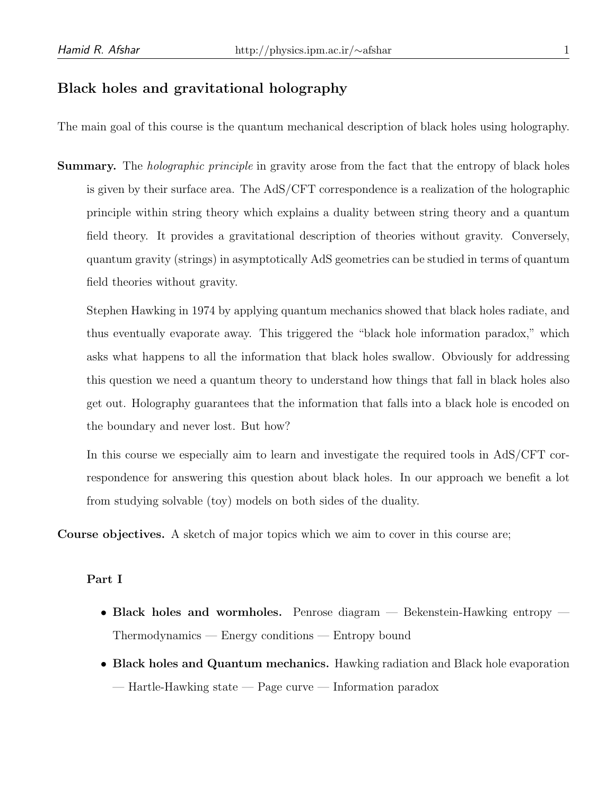## Black holes and gravitational holography

The main goal of this course is the quantum mechanical description of black holes using holography.

**Summary.** The *holographic principle* in gravity arose from the fact that the entropy of black holes is given by their surface area. The AdS/CFT correspondence is a realization of the holographic principle within string theory which explains a duality between string theory and a quantum field theory. It provides a gravitational description of theories without gravity. Conversely, quantum gravity (strings) in asymptotically AdS geometries can be studied in terms of quantum field theories without gravity.

Stephen Hawking in 1974 by applying quantum mechanics showed that black holes radiate, and thus eventually evaporate away. This triggered the "black hole information paradox," which asks what happens to all the information that black holes swallow. Obviously for addressing this question we need a quantum theory to understand how things that fall in black holes also get out. Holography guarantees that the information that falls into a black hole is encoded on the boundary and never lost. But how?

In this course we especially aim to learn and investigate the required tools in AdS/CFT correspondence for answering this question about black holes. In our approach we benefit a lot from studying solvable (toy) models on both sides of the duality.

Course objectives. A sketch of major topics which we aim to cover in this course are;

## Part I

- Black holes and wormholes. Penrose diagram Bekenstein-Hawking entropy Thermodynamics — Energy conditions — Entropy bound
- Black holes and Quantum mechanics. Hawking radiation and Black hole evaporation — Hartle-Hawking state — Page curve — Information paradox